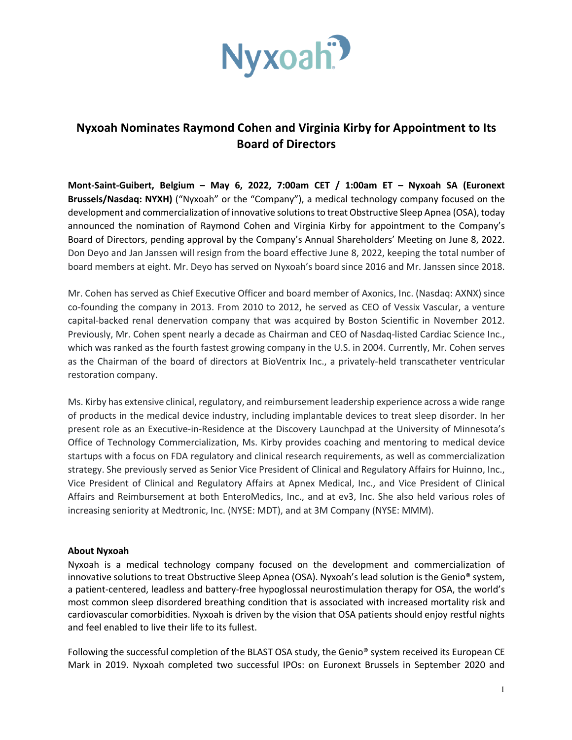

## **Nyxoah Nominates Raymond Cohen and Virginia Kirby for Appointment to Its Board of Directors**

**Mont-Saint-Guibert, Belgium – May 6, 2022, 7:00am CET / 1:00am ET – Nyxoah SA (Euronext Brussels/Nasdaq: NYXH)** ("Nyxoah" or the "Company"), a medical technology company focused on the development and commercialization of innovative solutions to treat Obstructive Sleep Apnea (OSA), today announced the nomination of Raymond Cohen and Virginia Kirby for appointment to the Company's Board of Directors, pending approval by the Company's Annual Shareholders' Meeting on June 8, 2022. Don Deyo and Jan Janssen will resign from the board effective June 8, 2022, keeping the total number of board members at eight. Mr. Deyo has served on Nyxoah's board since 2016 and Mr. Janssen since 2018.

Mr. Cohen has served as Chief Executive Officer and board member of Axonics, Inc. (Nasdaq: AXNX) since co-founding the company in 2013. From 2010 to 2012, he served as CEO of Vessix Vascular, a venture capital-backed renal denervation company that was acquired by Boston Scientific in November 2012. Previously, Mr. Cohen spent nearly a decade as Chairman and CEO of Nasdaq-listed Cardiac Science Inc., which was ranked as the fourth fastest growing company in the U.S. in 2004. Currently, Mr. Cohen serves as the Chairman of the board of directors at BioVentrix Inc., a privately-held transcatheter ventricular restoration company.

Ms. Kirby has extensive clinical, regulatory, and reimbursement leadership experience across a wide range of products in the medical device industry, including implantable devices to treat sleep disorder. In her present role as an Executive-in-Residence at the Discovery Launchpad at the University of Minnesota's Office of Technology Commercialization, Ms. Kirby provides coaching and mentoring to medical device startups with a focus on FDA regulatory and clinical research requirements, as well as commercialization strategy. She previously served as Senior Vice President of Clinical and Regulatory Affairs for Huinno, Inc., Vice President of Clinical and Regulatory Affairs at Apnex Medical, Inc., and Vice President of Clinical Affairs and Reimbursement at both EnteroMedics, Inc., and at ev3, Inc. She also held various roles of increasing seniority at Medtronic, Inc. (NYSE: MDT), and at 3M Company (NYSE: MMM).

## **About Nyxoah**

Nyxoah is a medical technology company focused on the development and commercialization of innovative solutions to treat Obstructive Sleep Apnea (OSA). Nyxoah's lead solution is the Genio® system, a patient-centered, leadless and battery-free hypoglossal neurostimulation therapy for OSA, the world's most common sleep disordered breathing condition that is associated with increased mortality risk and cardiovascular comorbidities. Nyxoah is driven by the vision that OSA patients should enjoy restful nights and feel enabled to live their life to its fullest.

Following the successful completion of the BLAST OSA study, the Genio® system received its European CE Mark in 2019. Nyxoah completed two successful IPOs: on Euronext Brussels in September 2020 and